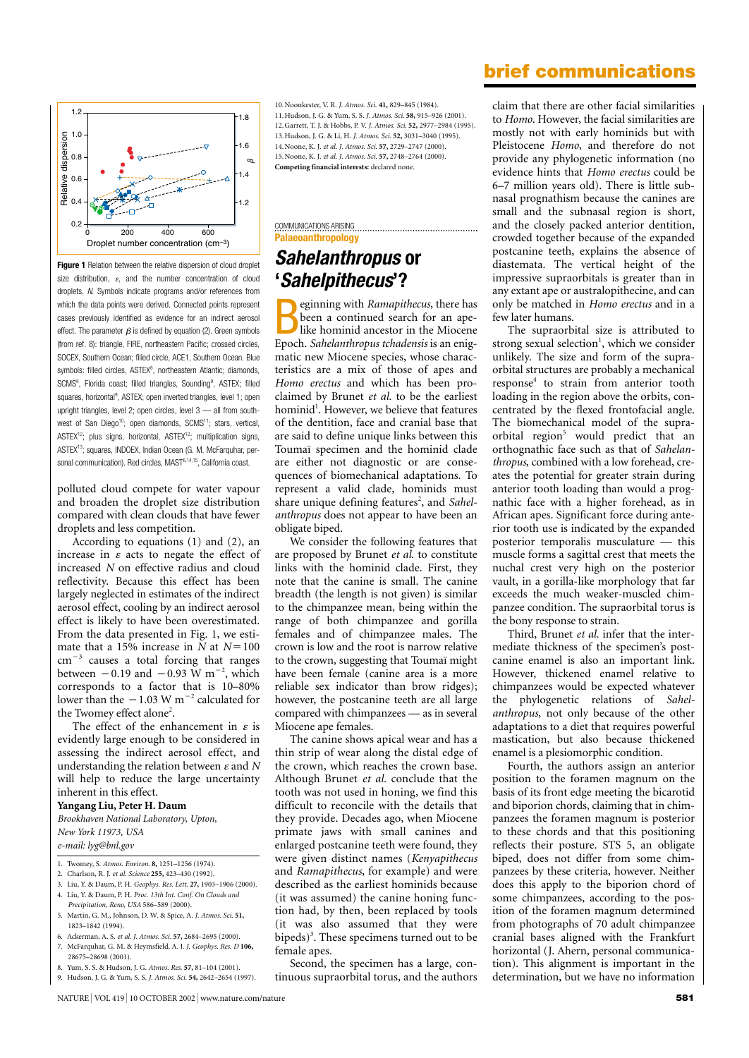

**Figure 1** Relation between the relative dispersion of cloud droplet size distribution,  $\varepsilon$ , and the number concentration of cloud droplets, *N*. Symbols indicate programs and/or references from which the data points were derived. Connected points represent cases previously identified as evidence for an indirect aerosol effect. The parameter  $\beta$  is defined by equation (2). Green symbols (from ref. 8): triangle, FIRE, northeastern Pacific; crossed circles, SOCEX, Southern Ocean; filled circle, ACE1, Southern Ocean. Blue symbols: filled circles, ASTEX<sup>8</sup>, northeastern Atlantic; diamonds, SCMS<sup>8</sup>, Florida coast; filled triangles, Sounding<sup>9</sup>, ASTEX; filled squares, horizontal<sup>9</sup>, ASTEX; open inverted triangles, level 1; open upright triangles, level 2; open circles, level 3 — all from southwest of San Diego<sup>10</sup>; open diamonds, SCMS<sup>11</sup>; stars, vertical, ASTEX $12$ ; plus signs, horizontal, ASTEX $12$ ; multiplication signs, ASTEX<sup>13</sup>; squares, INDOEX, Indian Ocean (G. M. McFarquhar, personal communication). Red circles, MAST<sup>6,14,15</sup>, California coast.

polluted cloud compete for water vapour and broaden the droplet size distribution compared with clean clouds that have fewer droplets and less competition.

According to equations (1) and (2), an increase in  $\varepsilon$  acts to negate the effect of increased *N* on effective radius and cloud reflectivity. Because this effect has been largely neglected in estimates of the indirect aerosol effect, cooling by an indirect aerosol effect is likely to have been overestimated. From the data presented in Fig. 1, we estimate that a 15% increase in  $\dot{N}$  at  $N=100$  $cm^{-3}$  causes a total forcing that ranges between  $-0.19$  and  $-0.93$  W m<sup>-2</sup>, which corresponds to a factor that is 10–80% lower than the  $-1.03$  W m<sup>-2</sup> calculated for the Twomey effect alone<sup>2</sup>.

The effect of the enhancement in  $\varepsilon$  is evidently large enough to be considered in assessing the indirect aerosol effect, and understanding the relation between  $\varepsilon$  and  $N$ will help to reduce the large uncertainty inherent in this effect.

### **Yangang Liu, Peter H. Daum**

*Brookhaven National Laboratory, Upton, New York 11973, USA e-mail: lyg@bnl.gov*

- 1. Twomey, S. *Atmos. Environ*. **8,** 1251–1256 (1974).
- 2. Charlson, R. J. *et al*. *Science* **255,** 423–430 (1992).
- 3. Liu, Y. & Daum, P. H. *Geophys. Res. Lett*. **27,** 1903–1906 (2000).
- 4. Liu, Y. & Daum, P. H. *Proc. 13th Int. Conf. On Clouds and*
- *Precipitation, Reno, USA* 586–589 (2000). 5. Martin, G. M., Johnson, D. W. & Spice, A. *J. Atmos. Sci*. **51,** 1823–1842 (1994).
- 6. Ackerman, A. S. *et al*. *J. Atmos. Sci.* **57,** 2684–2695 (2000).
- 7. McFarquhar, G. M. & Heymsfield, A. J. *J. Geophys. Res*. *D* **106,** 28675–28698 (2001).
- 8. Yum, S. S. & Hudson, J. G. *Atmos. Res*. **57,** 81–104 (2001).
- 9. Hudson, J. G. & Yum*,* S. S. *J. Atmos. Sci.* **54,** 2642–2654 (1997).

10.Noonkester, V. R. *J. Atmos. Sci*. **41,** 829–845 (1984). 11.Hudson, J. G. & Yum*,* S. S. *J. Atmos. Sci.* **58,** 915–926 (2001). 12.Garrett, T. J. & Hobbs, P. V. *J. Atmos. Sci*. **52,** 2977–2984 (1995). 13.Hudson, J. G. & Li, H. *J. Atmos. Sci.* **52,** 3031–3040 (1995). 14.Noone, K. J. *et al*. *J. Atmos. Sci*. **57,** 2729–2747 (2000). 15.Noone, K. J. *et al*. *J. Atmos. Sci*. **57,** 2748–2764 (2000). **Competing financial interests:** declared none.

### COMMUNICATIONS ARISING **Palaeoanthropology** *Sahelanthropus* **or '***Sahelpithecus***'?**

**Example 18 Seen a continued search for an apelike hominid ancestor in the Miocene<br>Epoch.** *Sahelanthropus tchadensis* **is an enig**eginning with *Ramapithecus*, there has been a continued search for an apelike hominid ancestor in the Miocene matic new Miocene species, whose characteristics are a mix of those of apes and *Homo erectus* and which has been proclaimed by Brunet *et al.* to be the earliest hominid<sup>1</sup>. However, we believe that features of the dentition, face and cranial base that are said to define unique links between this Toumaï specimen and the hominid clade are either not diagnostic or are consequences of biomechanical adaptations. To represent a valid clade, hominids must share unique defining features<sup>2</sup>, and Sahel*anthropus* does not appear to have been an obligate biped.

We consider the following features that are proposed by Brunet *et al.* to constitute links with the hominid clade. First, they note that the canine is small. The canine breadth (the length is not given) is similar to the chimpanzee mean, being within the range of both chimpanzee and gorilla females and of chimpanzee males. The crown is low and the root is narrow relative to the crown, suggesting that Toumaï might have been female (canine area is a more reliable sex indicator than brow ridges); however, the postcanine teeth are all large compared with chimpanzees — as in several Miocene ape females.

The canine shows apical wear and has a thin strip of wear along the distal edge of the crown, which reaches the crown base. Although Brunet *et al.* conclude that the tooth was not used in honing, we find this difficult to reconcile with the details that they provide. Decades ago, when Miocene primate jaws with small canines and enlarged postcanine teeth were found, they were given distinct names (*Kenyapithecus* and *Ramapithecus*, for example) and were described as the earliest hominids because (it was assumed) the canine honing function had, by then, been replaced by tools (it was also assumed that they were bipeds) $^3$ . These specimens turned out to be female apes.

Second, the specimen has a large, continuous supraorbital torus, and the authors

# **brief communications**

claim that there are other facial similarities to *Homo*. However, the facial similarities are mostly not with early hominids but with Pleistocene *Homo*, and therefore do not provide any phylogenetic information (no evidence hints that *Homo erectus* could be 6–7 million years old). There is little subnasal prognathism because the canines are small and the subnasal region is short, and the closely packed anterior dentition, crowded together because of the expanded postcanine teeth, explains the absence of diastemata. The vertical height of the impressive supraorbitals is greater than in any extant ape or australopithecine, and can only be matched in *Homo erectus* and in a few later humans.

The supraorbital size is attributed to strong sexual selection<sup>1</sup>, which we consider unlikely. The size and form of the supraorbital structures are probably a mechanical response<sup>4</sup> to strain from anterior tooth loading in the region above the orbits, concentrated by the flexed frontofacial angle. The biomechanical model of the supraorbital region<sup>5</sup> would predict that an orthognathic face such as that of *Sahelanthropus*, combined with a low forehead, creates the potential for greater strain during anterior tooth loading than would a prognathic face with a higher forehead, as in African apes. Significant force during anterior tooth use is indicated by the expanded posterior temporalis musculature –– this muscle forms a sagittal crest that meets the nuchal crest very high on the posterior vault, in a gorilla-like morphology that far exceeds the much weaker-muscled chimpanzee condition. The supraorbital torus is the bony response to strain.

Third, Brunet *et al.* infer that the intermediate thickness of the specimen's postcanine enamel is also an important link. However, thickened enamel relative to chimpanzees would be expected whatever the phylogenetic relations of *Sahelanthropus*, not only because of the other adaptations to a diet that requires powerful mastication, but also because thickened enamel is a plesiomorphic condition.

Fourth, the authors assign an anterior position to the foramen magnum on the basis of its front edge meeting the bicarotid and biporion chords, claiming that in chimpanzees the foramen magnum is posterior to these chords and that this positioning reflects their posture. STS 5, an obligate biped, does not differ from some chimpanzees by these criteria, however. Neither does this apply to the biporion chord of some chimpanzees, according to the position of the foramen magnum determined from photographs of 70 adult chimpanzee cranial bases aligned with the Frankfurt horizontal (J. Ahern, personal communication). This alignment is important in the determination, but we have no information